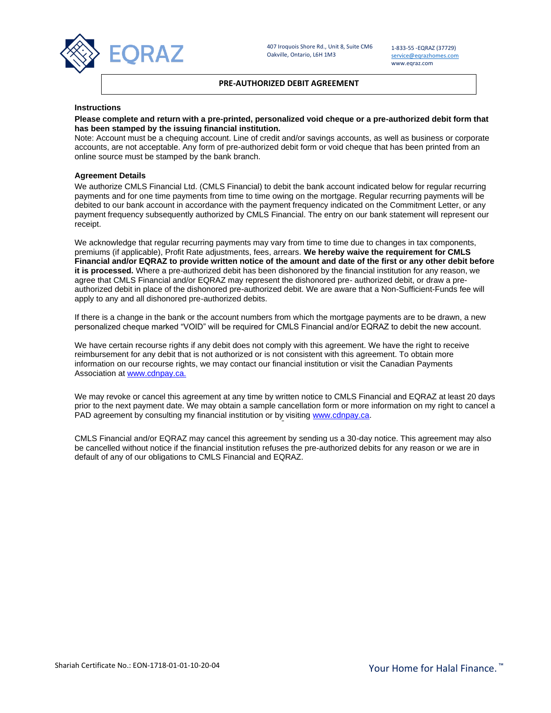

1-833-55 -EQRAZ (37729) [service@eqrazhomes.com](mailto:service@eqrazhomes.com) www.eqraz.com

# **PRE-AUTHORIZED DEBIT AGREEMENT**

### **Instructions**

## **Please complete and return with a pre-printed, personalized void cheque or a pre-authorized debit form that has been stamped by the issuing financial institution.**

Note: Account must be a chequing account. Line of credit and/or savings accounts, as well as business or corporate accounts, are not acceptable. Any form of pre-authorized debit form or void cheque that has been printed from an online source must be stamped by the bank branch.

### **Agreement Details**

We authorize CMLS Financial Ltd. (CMLS Financial) to debit the bank account indicated below for regular recurring payments and for one time payments from time to time owing on the mortgage. Regular recurring payments will be debited to our bank account in accordance with the payment frequency indicated on the Commitment Letter, or any payment frequency subsequently authorized by CMLS Financial. The entry on our bank statement will represent our receipt.

We acknowledge that regular recurring payments may vary from time to time due to changes in tax components, premiums (if applicable), Profit Rate adjustments, fees, arrears. **We hereby waive the requirement for CMLS Financial and/or EQRAZ to provide written notice of the amount and date of the first or any other debit before it is processed.** Where a pre-authorized debit has been dishonored by the financial institution for any reason, we agree that CMLS Financial and/or EQRAZ may represent the dishonored pre- authorized debit, or draw a preauthorized debit in place of the dishonored pre-authorized debit. We are aware that a Non-Sufficient-Funds fee will apply to any and all dishonored pre-authorized debits.

If there is a change in the bank or the account numbers from which the mortgage payments are to be drawn, a new personalized cheque marked "VOID" will be required for CMLS Financial and/or EQRAZ to debit the new account.

We have certain recourse rights if any debit does not comply with this agreement. We have the right to receive reimbursement for any debit that is not authorized or is not consistent with this agreement. To obtain more information on our recourse rights, we may contact our financial institution or visit the Canadian Payments Association a[t www.cdnpay.ca.](http://www.cdnpay.ca/)

We may revoke or cancel this agreement at any time by written notice to CMLS Financial and EQRAZ at least 20 days prior to the next payment date. We may obtain a sample cancellation form or more information on my right to cancel a PAD agreement by consulting my financial institution or by visiting [www.cdnpay.ca.](http://www.cdnpay.ca/)

CMLS Financial and/or EQRAZ may cancel this agreement by sending us a 30-day notice. This agreement may also be cancelled without notice if the financial institution refuses the pre-authorized debits for any reason or we are in default of any of our obligations to CMLS Financial and EQRAZ.